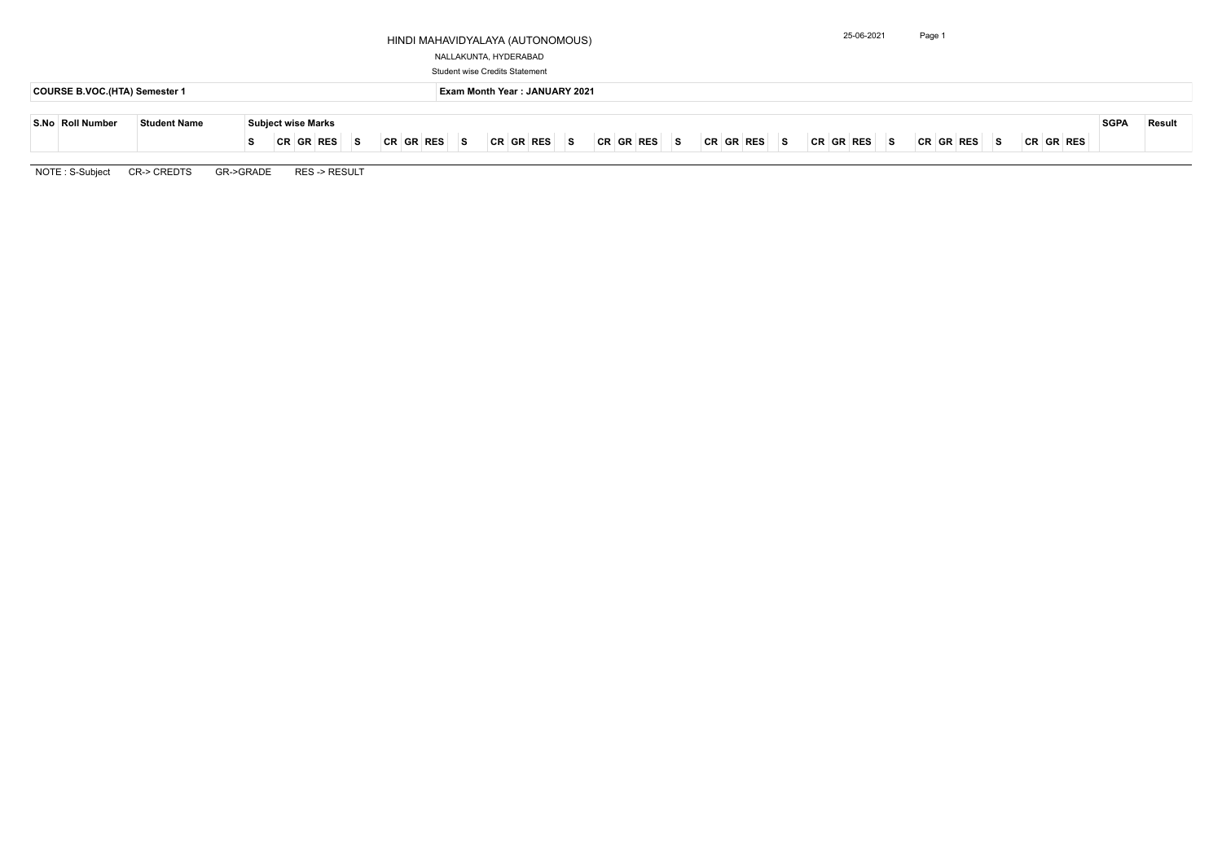## HINDI MAHAVIDYALAYA (AUTONOMOUS)

### NALLAKUNTA, HYDERABAD

Student wise Credits Statement

|  | $\left\vert \mathsf{CR}\right\vert$ $\left\vert \mathsf{RR}\right\vert$ $\left\vert \mathsf{SR}\right\vert$ $\left\vert \mathsf{CR}\right\vert$ $\left\vert \mathsf{CR}\right\vert$ $\left\vert \mathsf{RES}\right\vert$ |  |  | SGPA Result |  |
|--|--------------------------------------------------------------------------------------------------------------------------------------------------------------------------------------------------------------------------|--|--|-------------|--|
|  |                                                                                                                                                                                                                          |  |  |             |  |

| COURSE B.VOC.(HTA) Semester 1 |                     |                                  | <b>Exam Month Year: JANUARY 2021</b>                                                                                  |             |               |  |  |  |  |  |  |  |  |  |  |  |
|-------------------------------|---------------------|----------------------------------|-----------------------------------------------------------------------------------------------------------------------|-------------|---------------|--|--|--|--|--|--|--|--|--|--|--|
| S.No Roll Number              | <b>Student Name</b> | <b>Subject wise Marks</b>        |                                                                                                                       | <b>SGPA</b> | <b>Result</b> |  |  |  |  |  |  |  |  |  |  |  |
|                               |                     | CR GR RES <br> CR GR RES <br>∣S. | CR GR RES <br>$ CR GR RES $ is<br> CR GR RES <br> CR GR RES <br> CR GR RES <br>∣S.<br> CR GR RES <br>∣S.<br>∣S.<br>S. |             |               |  |  |  |  |  |  |  |  |  |  |  |

NOTE : S-Subject CR-> CREDTS GR->GRADE RES -> RESULT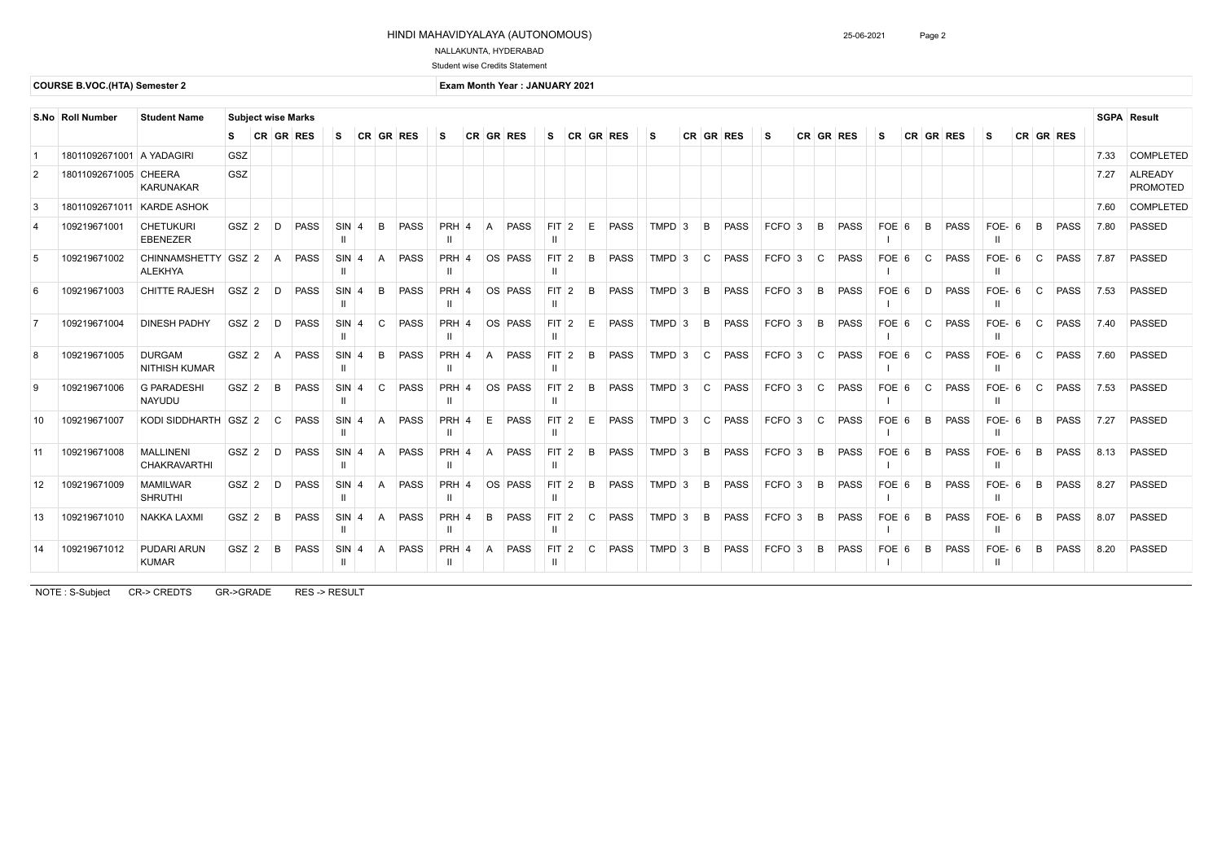## HINDI MAHAVIDYALAYA (AUTONOMOUS)

# NALLAKUNTA, HYDERABAD

#### Student wise Credits Statement

## **COURSE B.VOC.(HTA) Semester 2 EXAMPLE 2021 EXAMPLE 2021 EXAMPLE 2021**

NOTE : S-Subject CR-> CREDTS GR->GRADE RES -> RESULT

| <b>Student Name</b><br>S.No   Roll Number<br><b>Subject wise Marks</b> |                           |                                         |         |                  |             |                                    |                |                |             |                         |                |                             |                 |                |    | <b>SGPA Result</b> |          |              |             |     |          |              |             |         |           |             |                       |              |             |        |                            |
|------------------------------------------------------------------------|---------------------------|-----------------------------------------|---------|------------------|-------------|------------------------------------|----------------|----------------|-------------|-------------------------|----------------|-----------------------------|-----------------|----------------|----|--------------------|----------|--------------|-------------|-----|----------|--------------|-------------|---------|-----------|-------------|-----------------------|--------------|-------------|--------|----------------------------|
|                                                                        |                           |                                         | S.      | <b>CR GR RES</b> |             | S.                                 |                |                | CR GR RES   | S                       |                | CR GR RES                   | S.              | CR             |    | <b>GR RES</b>      | l S      |              | CR GR RES   | l S |          |              | CR GR RES   | S.      | CR GR RES |             | 'S                    |              | CR GR RES   |        |                            |
|                                                                        | 18011092671001 A YADAGIRI |                                         | GSZ     |                  |             |                                    |                |                |             |                         |                |                             |                 |                |    |                    |          |              |             |     |          |              |             |         |           |             |                       |              |             | 7.33   | <b>COMPLETED</b>           |
| $\overline{2}$                                                         | 18011092671005 CHEERA     | <b>KARUNAKAR</b>                        | GSZ     |                  |             |                                    |                |                |             |                         |                |                             |                 |                |    |                    |          |              |             |     |          |              |             |         |           |             |                       |              |             | 7.27   | ALREADY<br><b>PROMOTED</b> |
| $\mathbf{3}$                                                           | 18011092671011            | <b>KARDE ASHOK</b>                      |         |                  |             |                                    |                |                |             |                         |                |                             |                 |                |    |                    |          |              |             |     |          |              |             |         |           |             |                       |              |             | 7.60   | <b>COMPLETED</b>           |
| $\overline{4}$                                                         | 109219671001              | <b>CHETUKURI</b><br><b>EBENEZER</b>     | $GSZ$ 2 | D                | <b>PASS</b> | $SIN$ 4<br>$\mathbf{I}$            |                | B <sub>1</sub> | <b>PASS</b> | <b>PRH</b><br>Ш         | $\vert$ 4      | <b>PASS</b><br>A            | FIT             | $\sqrt{2}$     | E  | <b>PASS</b>        | $TMPD$ 3 | B            | <b>PASS</b> |     | $FCFO$ 3 | B            | <b>PASS</b> | FOE 6   | B         | <b>PASS</b> | FOE- $6$<br>Ш         | B            | <b>PASS</b> | 7.80   | <b>PASSED</b>              |
| 5                                                                      | 109219671002              | CHINNAMSHETTY GSZ 2<br><b>ALEKHYA</b>   |         | $\overline{A}$   | <b>PASS</b> | $SIN$ <sup>4</sup><br>-H           |                |                | <b>PASS</b> | <b>PRH</b>              | $\overline{4}$ | OS PASS                     | $FIT$ 2         |                | B  | <b>PASS</b>        | $TMPD$ 3 | C            | <b>PASS</b> |     | $FCFO$ 3 | $\mathsf{C}$ | <b>PASS</b> | FOE 6   | C.        | <b>PASS</b> | FOE- $6$<br>Ш         | $\mathsf{C}$ | <b>PASS</b> | 7.87   | <b>PASSED</b>              |
| 6                                                                      | 109219671003              | <b>CHITTE RAJESH</b>                    | GSZ 2   | D                | <b>PASS</b> | SIN<br>-H                          | $\overline{A}$ | B              | <b>PASS</b> | <b>PRH</b><br>Ш         | $\vert 4$      | OS PASS                     | FIT<br>Ш        | $\sqrt{2}$     | B  | <b>PASS</b>        | $TMPD$ 3 | B            | <b>PASS</b> |     | $FCFO$ 3 | B            | PASS        | $FOE$ 6 | D         | <b>PASS</b> | FOE-<br>  6<br>Ш      | C.           | <b>PASS</b> | 7.53   | <b>PASSED</b>              |
| $\overline{7}$                                                         | 109219671004              | <b>DINESH PADHY</b>                     | $GSZ$ 2 | D                | <b>PASS</b> | $SIN$ <sup>4</sup><br>-H           |                | $\Omega$       | <b>PASS</b> | <b>PRH</b>              | $\overline{A}$ | OS PASS                     | FIT             | $\overline{2}$ | E. | <b>PASS</b>        | $TMPD$ 3 | B            | <b>PASS</b> |     | $FCFO$ 3 | B.           | <b>PASS</b> | $FOE$ 6 | C.        | <b>PASS</b> | FOE-<br><b>6</b><br>Ш | C.           | <b>PASS</b> | 7.40   | <b>PASSED</b>              |
| 8                                                                      | 109219671005              | <b>DURGAM</b><br><b>NITHISH KUMAR</b>   | $GSZ$ 2 | $\overline{A}$   | <b>PASS</b> | SIN<br>-H                          | $\overline{A}$ | B <sub>1</sub> | <b>PASS</b> | <b>PRH</b><br>Ш         | $\overline{A}$ | <b>PASS</b><br>A            | <b>FIT</b>      | 2              | B  | <b>PASS</b>        | $TMPD$ 3 | $\mathsf{C}$ | <b>PASS</b> |     | $FCFO$ 3 | $\mathsf{C}$ | <b>PASS</b> | FOE 6   | C.        | <b>PASS</b> | FOE-<br><b>6</b><br>Ш | $\mathsf{C}$ | <b>PASS</b> | 7.60   | <b>PASSED</b>              |
| 9                                                                      | 109219671006              | <b>G PARADESHI</b><br><b>NAYUDU</b>     | $GSZ$ 2 | B                | <b>PASS</b> | $SIN$ <sup>4</sup><br>-H           |                | $\mathcal{C}$  | <b>PASS</b> | $PRH$ <sup>4</sup>      |                | OS PASS                     | FIT.            | $\overline{2}$ | B  | <b>PASS</b>        | $TMPD$ 3 | C            | <b>PASS</b> |     | $FCFO$ 3 | $\mathsf{C}$ | PASS        | FOE 6   | l C       | <b>PASS</b> | FOE-<br>  6<br>Ш      | $\mathsf{C}$ | <b>PASS</b> | 7.53   | PASSED                     |
| 10                                                                     | 109219671007              | KODI SIDDHARTH   GSZ   2                |         | C.               | <b>PASS</b> | <b>SIN</b><br>$\mathbf{I}$         | $\Delta$       | A              | <b>PASS</b> | <b>PRH</b><br>Ш         |                | E.<br><b>PASS</b>           | <b>FIT</b>      | $\vert$ 2      | E. | <b>PASS</b>        | $TMPD$ 3 | C            | <b>PASS</b> |     | $FCFO$ 3 | C            | <b>PASS</b> | $FOE$ 6 | B         | <b>PASS</b> | FOE-<br>  6<br>Ш      | B.           | <b>PASS</b> | $7.27$ | <b>PASSED</b>              |
| 11                                                                     | 109219671008              | <b>MALLINENI</b><br><b>CHAKRAVARTHI</b> | $GSZ$ 2 | D                | <b>PASS</b> | $SIN$ <sup>4</sup><br>$\mathbf{I}$ |                |                | <b>PASS</b> | <b>PRH</b>              | $\overline{4}$ | <b>PASS</b>                 | <b>FIT</b>      | $\mathcal{P}$  | B  | <b>PASS</b>        | $TMPD$ 3 | B            | <b>PASS</b> |     | $FCFO$ 3 | B            | <b>PASS</b> | $FOE$ 6 | B         | <b>PASS</b> | FOE-<br><b>6</b><br>Ш | R            | <b>PASS</b> | 8.13   | PASSED                     |
| $12 \overline{ }$                                                      | 109219671009              | <b>MAMILWAR</b><br><b>SHRUTHI</b>       | $GSZ$ 2 | D                | <b>PASS</b> | $SIN$ 4<br>$\mathbf{I}$            |                |                | <b>PASS</b> | $PRH$ <sup>4</sup><br>Ш |                | OS PASS                     | <b>FIT</b><br>Ш | $\sqrt{2}$     | B  | <b>PASS</b>        | $TMPD$ 3 | B            | <b>PASS</b> |     | $FCFO$ 3 | B            | <b>PASS</b> | $FOE$ 6 | B         | <b>PASS</b> | FOE-<br><b>6</b><br>Ш | B.           | <b>PASS</b> | 8.27   | <b>PASSED</b>              |
| 13                                                                     | 109219671010              | <b>NAKKA LAXMI</b>                      | $GSZ$ 2 | B                | <b>PASS</b> | $SIN$ <sup>4</sup><br>Ш            |                | A              | <b>PASS</b> | <b>PRH</b>              | $\overline{4}$ | <sub>B</sub><br><b>PASS</b> | $FIT$ 2         |                | C  | <b>PASS</b>        | $TMPD$ 3 | B            | <b>PASS</b> |     | $FCFO$ 3 | B            | PASS        | $FOE$ 6 | B         | <b>PASS</b> | FOE-<br>- 6<br>Ш      | B.           | <b>PASS</b> | 8.07   | <b>PASSED</b>              |
| 14                                                                     | 109219671012              | PUDARI ARUN<br><b>KUMAR</b>             | $GSZ$ 2 | B                | <b>PASS</b> | $SIN$ <sup>4</sup><br>-II          |                | A              | <b>PASS</b> | <b>PRH</b><br>H         | $\vert 4$      | <b>PASS</b>                 | FIT<br>Ш        | $\vert$ 2      | C  | <b>PASS</b>        | $TMPD$ 3 | B            | <b>PASS</b> |     | $FCFO$ 3 | B            | PASS        | $FOE$ 6 | B         | <b>PASS</b> | FOE-<br>6<br>Ш        | B            | <b>PASS</b> | 8.20   | <b>PASSED</b>              |